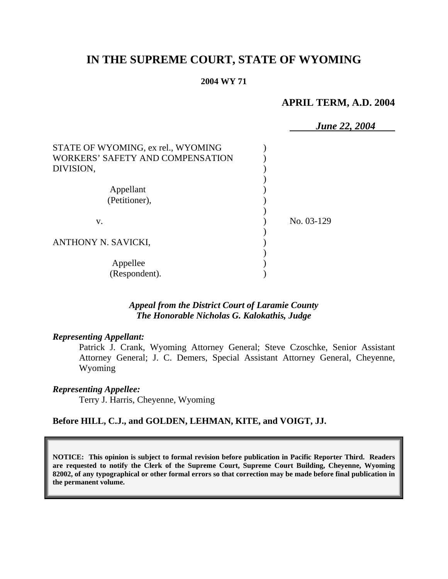# **IN THE SUPREME COURT, STATE OF WYOMING**

#### **2004 WY 71**

# **APRIL TERM, A.D. 2004**

|                                    | <b>June 22, 2004</b> |
|------------------------------------|----------------------|
| STATE OF WYOMING, ex rel., WYOMING |                      |
| WORKERS' SAFETY AND COMPENSATION   |                      |
| DIVISION,                          |                      |
|                                    |                      |
| Appellant                          |                      |
| (Petitioner),                      |                      |
| V.                                 | No. 03-129           |
| ANTHONY N. SAVICKI,                |                      |
| Appellee                           |                      |
| (Respondent).                      |                      |

### *Appeal from the District Court of Laramie County The Honorable Nicholas G. Kalokathis, Judge*

### *Representing Appellant:*

Patrick J. Crank, Wyoming Attorney General; Steve Czoschke, Senior Assistant Attorney General; J. C. Demers, Special Assistant Attorney General, Cheyenne, Wyoming

#### *Representing Appellee:*

Terry J. Harris, Cheyenne, Wyoming

### **Before HILL, C.J., and GOLDEN, LEHMAN, KITE, and VOIGT, JJ.**

**NOTICE: This opinion is subject to formal revision before publication in Pacific Reporter Third. Readers are requested to notify the Clerk of the Supreme Court, Supreme Court Building, Cheyenne, Wyoming 82002, of any typographical or other formal errors so that correction may be made before final publication in the permanent volume.**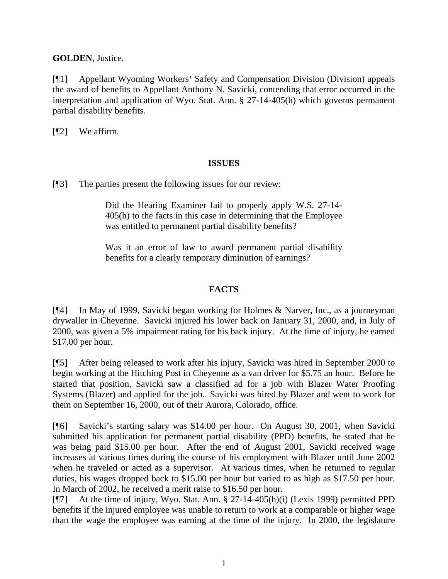**GOLDEN**, Justice.

[¶1] Appellant Wyoming Workers' Safety and Compensation Division (Division) appeals the award of benefits to Appellant Anthony N. Savicki, contending that error occurred in the interpretation and application of Wyo. Stat. Ann. § 27-14-405(h) which governs permanent partial disability benefits.

[¶2] We affirm.

## **ISSUES**

[¶3] The parties present the following issues for our review:

Did the Hearing Examiner fail to properly apply W.S. 27-14- 405(h) to the facts in this case in determining that the Employee was entitled to permanent partial disability benefits?

Was it an error of law to award permanent partial disability benefits for a clearly temporary diminution of earnings?

# **FACTS**

[¶4] In May of 1999, Savicki began working for Holmes & Narver, Inc., as a journeyman drywaller in Cheyenne. Savicki injured his lower back on January 31, 2000, and, in July of 2000, was given a 5% impairment rating for his back injury. At the time of injury, he earned \$17.00 per hour.

[¶5] After being released to work after his injury, Savicki was hired in September 2000 to begin working at the Hitching Post in Cheyenne as a van driver for \$5.75 an hour. Before he started that position, Savicki saw a classified ad for a job with Blazer Water Proofing Systems (Blazer) and applied for the job. Savicki was hired by Blazer and went to work for them on September 16, 2000, out of their Aurora, Colorado, office.

[¶6] Savicki's starting salary was \$14.00 per hour. On August 30, 2001, when Savicki submitted his application for permanent partial disability (PPD) benefits, he stated that he was being paid \$15.00 per hour. After the end of August 2001, Savicki received wage increases at various times during the course of his employment with Blazer until June 2002 when he traveled or acted as a supervisor. At various times, when he returned to regular duties, his wages dropped back to \$15.00 per hour but varied to as high as \$17.50 per hour. In March of 2002, he received a merit raise to \$16.50 per hour.

[¶7] At the time of injury, Wyo. Stat. Ann. § 27-14-405(h)(i) (Lexis 1999) permitted PPD benefits if the injured employee was unable to return to work at a comparable or higher wage than the wage the employee was earning at the time of the injury. In 2000, the legislature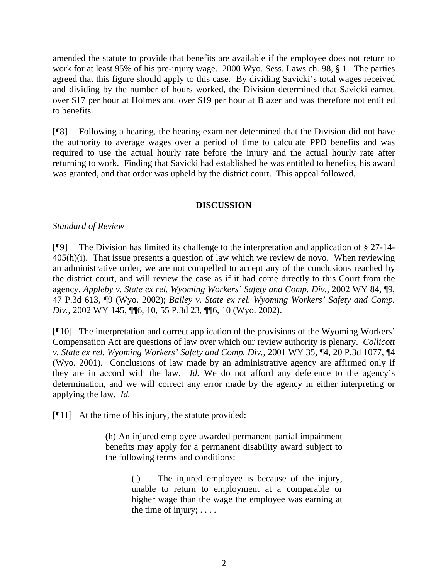amended the statute to provide that benefits are available if the employee does not return to work for at least 95% of his pre-injury wage. 2000 Wyo. Sess. Laws ch. 98, § 1. The parties agreed that this figure should apply to this case. By dividing Savicki's total wages received and dividing by the number of hours worked, the Division determined that Savicki earned over \$17 per hour at Holmes and over \$19 per hour at Blazer and was therefore not entitled to benefits.

[¶8] Following a hearing, the hearing examiner determined that the Division did not have the authority to average wages over a period of time to calculate PPD benefits and was required to use the actual hourly rate before the injury and the actual hourly rate after returning to work. Finding that Savicki had established he was entitled to benefits, his award was granted, and that order was upheld by the district court. This appeal followed.

### **DISCUSSION**

### *Standard of Review*

[¶9] The Division has limited its challenge to the interpretation and application of § 27-14-  $405(h)(i)$ . That issue presents a question of law which we review de novo. When reviewing an administrative order, we are not compelled to accept any of the conclusions reached by the district court, and will review the case as if it had come directly to this Court from the agency. *Appleby v. State ex rel. Wyoming Workers' Safety and Comp. Div.*, 2002 WY 84, ¶9, 47 P.3d 613, ¶9 (Wyo. 2002); *Bailey v. State ex rel. Wyoming Workers' Safety and Comp. Div.,* 2002 WY 145, ¶¶6, 10, 55 P.3d 23, ¶¶6, 10 (Wyo. 2002).

[¶10] The interpretation and correct application of the provisions of the Wyoming Workers' Compensation Act are questions of law over which our review authority is plenary. *Collicott v. State ex rel. Wyoming Workers' Safety and Comp. Div.,* 2001 WY 35, ¶4, 20 P.3d 1077, ¶4 (Wyo. 2001). Conclusions of law made by an administrative agency are affirmed only if they are in accord with the law. *Id.* We do not afford any deference to the agency's determination, and we will correct any error made by the agency in either interpreting or applying the law. *Id.* 

[¶11] At the time of his injury, the statute provided:

(h) An injured employee awarded permanent partial impairment benefits may apply for a permanent disability award subject to the following terms and conditions:

> (i) The injured employee is because of the injury, unable to return to employment at a comparable or higher wage than the wage the employee was earning at the time of injury;  $\dots$ .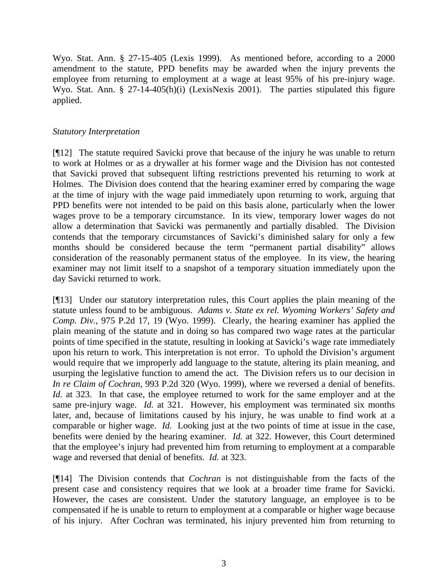Wyo. Stat. Ann. § 27-15-405 (Lexis 1999). As mentioned before, according to a 2000 amendment to the statute, PPD benefits may be awarded when the injury prevents the employee from returning to employment at a wage at least 95% of his pre-injury wage. Wyo. Stat. Ann. § 27-14-405(h)(i) (LexisNexis 2001). The parties stipulated this figure applied.

### *Statutory Interpretation*

[¶12] The statute required Savicki prove that because of the injury he was unable to return to work at Holmes or as a drywaller at his former wage and the Division has not contested that Savicki proved that subsequent lifting restrictions prevented his returning to work at Holmes. The Division does contend that the hearing examiner erred by comparing the wage at the time of injury with the wage paid immediately upon returning to work, arguing that PPD benefits were not intended to be paid on this basis alone, particularly when the lower wages prove to be a temporary circumstance. In its view, temporary lower wages do not allow a determination that Savicki was permanently and partially disabled. The Division contends that the temporary circumstances of Savicki's diminished salary for only a few months should be considered because the term "permanent partial disability" allows consideration of the reasonably permanent status of the employee. In its view, the hearing examiner may not limit itself to a snapshot of a temporary situation immediately upon the day Savicki returned to work.

[¶13] Under our statutory interpretation rules, this Court applies the plain meaning of the statute unless found to be ambiguous. *Adams v. State ex rel. Wyoming Workers' Safety and Comp. Div.,* 975 P.2d 17, 19 (Wyo. 1999). Clearly, the hearing examiner has applied the plain meaning of the statute and in doing so has compared two wage rates at the particular points of time specified in the statute, resulting in looking at Savicki's wage rate immediately upon his return to work. This interpretation is not error. To uphold the Division's argument would require that we improperly add language to the statute, altering its plain meaning, and usurping the legislative function to amend the act. The Division refers us to our decision in *In re Claim of Cochran,* 993 P.2d 320 (Wyo. 1999), where we reversed a denial of benefits. *Id.* at 323. In that case, the employee returned to work for the same employer and at the same pre-injury wage. *Id.* at 321. However, his employment was terminated six months later, and, because of limitations caused by his injury, he was unable to find work at a comparable or higher wage. *Id.* Looking just at the two points of time at issue in the case, benefits were denied by the hearing examiner. *Id.* at 322. However, this Court determined that the employee's injury had prevented him from returning to employment at a comparable wage and reversed that denial of benefits. *Id.* at 323.

[¶14] The Division contends that *Cochran* is not distinguishable from the facts of the present case and consistency requires that we look at a broader time frame for Savicki. However, the cases are consistent. Under the statutory language, an employee is to be compensated if he is unable to return to employment at a comparable or higher wage because of his injury. After Cochran was terminated, his injury prevented him from returning to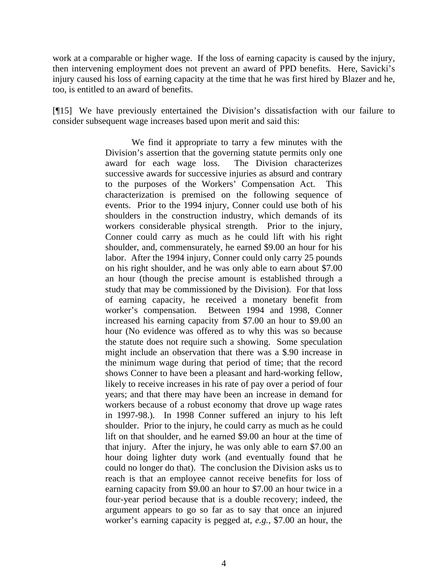work at a comparable or higher wage. If the loss of earning capacity is caused by the injury, then intervening employment does not prevent an award of PPD benefits. Here, Savicki's injury caused his loss of earning capacity at the time that he was first hired by Blazer and he, too, is entitled to an award of benefits.

[¶15] We have previously entertained the Division's dissatisfaction with our failure to consider subsequent wage increases based upon merit and said this:

> We find it appropriate to tarry a few minutes with the Division's assertion that the governing statute permits only one award for each wage loss. The Division characterizes successive awards for successive injuries as absurd and contrary to the purposes of the Workers' Compensation Act. This characterization is premised on the following sequence of events. Prior to the 1994 injury, Conner could use both of his shoulders in the construction industry, which demands of its workers considerable physical strength. Prior to the injury, Conner could carry as much as he could lift with his right shoulder, and, commensurately, he earned \$9.00 an hour for his labor. After the 1994 injury, Conner could only carry 25 pounds on his right shoulder, and he was only able to earn about \$7.00 an hour (though the precise amount is established through a study that may be commissioned by the Division). For that loss of earning capacity, he received a monetary benefit from worker's compensation. Between 1994 and 1998, Conner increased his earning capacity from \$7.00 an hour to \$9.00 an hour (No evidence was offered as to why this was so because the statute does not require such a showing. Some speculation might include an observation that there was a \$.90 increase in the minimum wage during that period of time; that the record shows Conner to have been a pleasant and hard-working fellow, likely to receive increases in his rate of pay over a period of four years; and that there may have been an increase in demand for workers because of a robust economy that drove up wage rates in 1997-98.). In 1998 Conner suffered an injury to his left shoulder. Prior to the injury, he could carry as much as he could lift on that shoulder, and he earned \$9.00 an hour at the time of that injury. After the injury, he was only able to earn \$7.00 an hour doing lighter duty work (and eventually found that he could no longer do that). The conclusion the Division asks us to reach is that an employee cannot receive benefits for loss of earning capacity from \$9.00 an hour to \$7.00 an hour twice in a four-year period because that is a double recovery; indeed, the argument appears to go so far as to say that once an injured worker's earning capacity is pegged at, *e.g.*, \$7.00 an hour, the